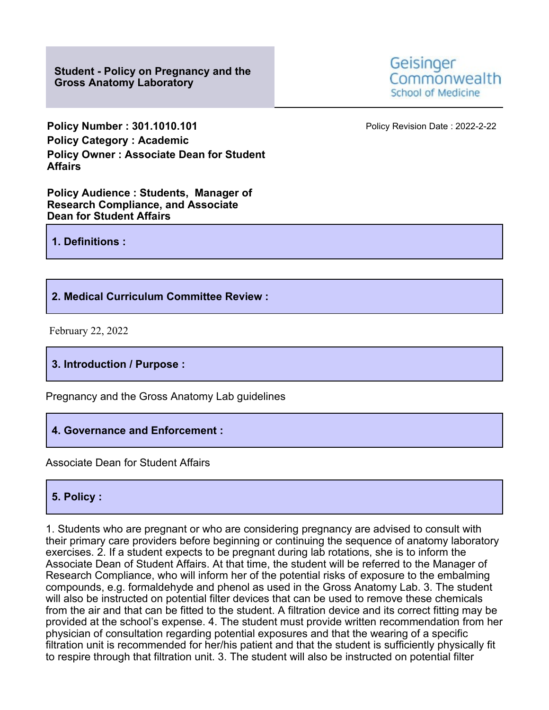**Student - Policy on Pregnancy and the Gross Anatomy Laboratory**

**Policy Number : 301.1010.101 Policy Revision Date : 2022-2-22 Policy Category : Academic Policy Owner : Associate Dean for Student Affairs**

**Policy Audience : Students, Manager of Research Compliance, and Associate Dean for Student Affairs**

**1. Definitions :**

**2. Medical Curriculum Committee Review :**

February 22, 2022

**3. Introduction / Purpose :**

Pregnancy and the Gross Anatomy Lab guidelines

**4. Governance and Enforcement :**

Associate Dean for Student Affairs

## **5. Policy :**

1. Students who are pregnant or who are considering pregnancy are advised to consult with their primary care providers before beginning or continuing the sequence of anatomy laboratory exercises. 2. If a student expects to be pregnant during lab rotations, she is to inform the Associate Dean of Student Affairs. At that time, the student will be referred to the Manager of Research Compliance, who will inform her of the potential risks of exposure to the embalming compounds, e.g. formaldehyde and phenol as used in the Gross Anatomy Lab. 3. The student will also be instructed on potential filter devices that can be used to remove these chemicals from the air and that can be fitted to the student. A filtration device and its correct fitting may be provided at the school's expense. 4. The student must provide written recommendation from her physician of consultation regarding potential exposures and that the wearing of a specific filtration unit is recommended for her/his patient and that the student is sufficiently physically fit to respire through that filtration unit. 3. The student will also be instructed on potential filter